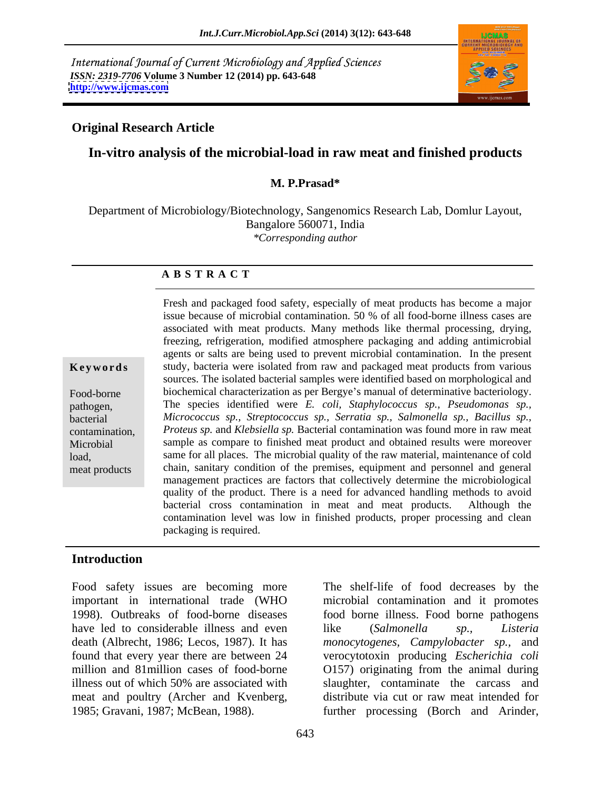International Journal of Current Microbiology and Applied Sciences *ISSN: 2319-7706* **Volume 3 Number 12 (2014) pp. 643-648 <http://www.ijcmas.com>**



### **Original Research Article**

# **In-vitro analysis of the microbial-load in raw meat and finished products**

### **M. P.Prasad\***

Department of Microbiology/Biotechnology, Sangenomics Research Lab, Domlur Layout, Bangalore 560071, India *\*Corresponding author* 

### **A B S T R A C T**

**Keywords** study, bacteria were isolated from raw and packaged meat products from various Food-borne biochemical characterization as per Bergye's manual of determinative bacteriology. pathogen, The species identified were *E. coli, Staphylococcus sp., Pseudomonas sp.,* bacterial *Micrococcus sp., Streptococcus sp., Serratia sp., Salmonella sp., Bacillus sp.,* contamination, *Proteus sp.* and *Klebsiella sp.* Bacterial contamination was found more in raw meat Microbial sample as compare to finished meat product and obtained results were moreover load, same for all places. The microbial quality of the raw material, maintenance of cold meat products chain, sanitary condition of the premises, equipment and personnel and general Fresh and packaged food safety, especially of meat products has become a major issue because of microbial contamination. 50 % of all food-borne illness cases are associated with meat products. Many methods like thermal processing, drying, freezing, refrigeration, modified atmosphere packaging and adding antimicrobial agents or salts are being used to prevent microbial contamination. In the present sources. The isolated bacterial samples were identified based on morphological and management practices are factors that collectively determine the microbiological quality of the product. There is a need for advanced handling methods to avoid bacterial cross contamination in meat and meat products. Although the contamination level was low in finished products, proper processing and clean packaging is required.

### **Introduction**

have led to considerable illness and even like (Salmonella sp., Listeria

Food safety issues are becoming more The shelf-life of food decreases by the important in international trade (WHO microbial contamination and it promotes 1998). Outbreaks of food-borne diseases food borne illness. Food borne pathogens death (Albrecht, 1986; Lecos, 1987). It has *monocytogenes, Campylobacter sp.,* and found that every year there are between 24 verocytotoxin producing *Escherichia coli* million and 81million cases of food-borne O157) originating from the animal during illness out of which 50% are associated with slaughter, contaminate the carcass and meat and poultry (Archer and Kvenberg, distribute via cut or raw meat intended for 1985; Gravani, 1987; McBean, 1988). further processing (Borch and Arinder, like (*Salmonella sp., Listeria* slaughter, contaminate the carcass and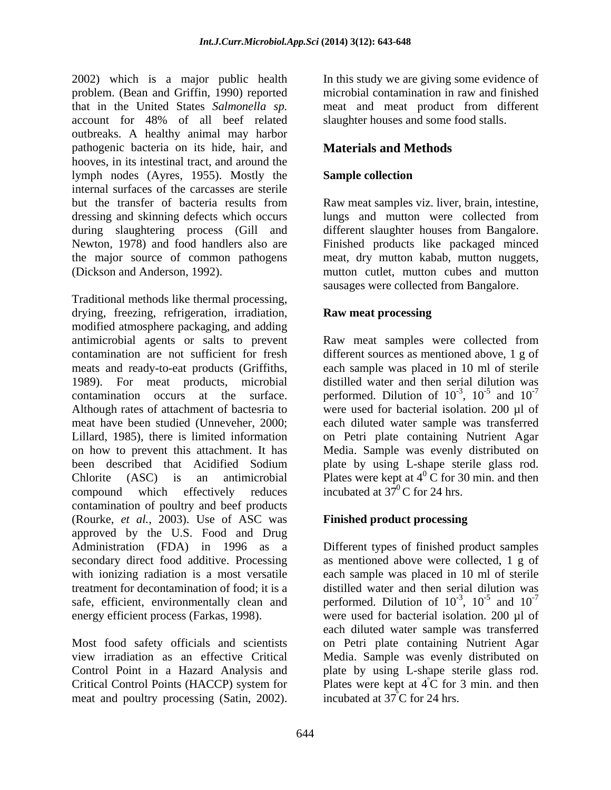2002) which is a major public health problem. (Bean and Griffin, 1990) reported that in the United States *Salmonella sp.* meat and meat product from different account for 48% of all beef related outbreaks. A healthy animal may harbor pathogenic bacteria on its hide, hair, and hooves, in its intestinal tract, and around the lymph nodes (Ayres, 1955). Mostly the **Sample collection** internal surfaces of the carcasses are sterile but the transfer of bacteria results from Raw meat samples viz. liver, brain, intestine, dressing and skinning defects which occurs lungs and mutton were collected from during slaughtering process (Gill and Newton, 1978) and food handlers also are Finished products like packaged minced the major source of common pathogens meat,dry mutton kabab, mutton nuggets, (Dickson and Anderson, 1992). mutton cutlet, mutton cubes and mutton

Traditional methods like thermal processing, drying, freezing, refrigeration, irradiation, **Raw meat processing** modified atmosphere packaging, and adding antimicrobial agents or salts to prevent Raw meat samples were collected from contamination are not sufficient for fresh different sources as mentioned above, 1 g of meats and ready-to-eat products (Griffiths, each sample was placed in 10 ml of sterile 1989). For meat products, microbial contamination occurs at the surface. performed. Dilution of  $10^{-3}$ ,  $10^{-5}$  and  $10^{-7}$ Although rates of attachment of bactesria to were used for bacterial isolation. 200 µl of meat have been studied (Unneveher, 2000; each diluted water sample was transferred Lillard, 1985), there is limited information on Petri plate containing Nutrient Agar on how to prevent this attachment. It has Media. Sample was evenly distributed on been described that Acidified Sodium plate by using L-shape sterile glass rod. Chlorite (ASC) is an antimicrobial Plates were kept at  $4^{\circ}$  C for 30 min. and then compound which effectively reduces incubated at  $37^{\circ}$ C for 24 hrs. contamination of poultry and beef products (Rourke, *et al.,* 2003). Use of ASC was approved by the U.S. Food and Drug Administration (FDA) in 1996 as a Different types of finished product samples secondary direct food additive. Processing as mentioned above were collected, 1 g of with ionizing radiation is a most versatile each sample was placed in 10 ml of sterile treatment for decontamination of food; it is a distilled water and then serial dilution was safe, efficient, environmentally clean and performed. Dilution of  $10^{-3}$ ,  $10^{-5}$  and  $10^{-7}$ energy efficient process (Farkas, 1998). were used for bacterial isolation. 200 µl of

Critical Control Points (HACCP) system for meat and poultry processing (Satin, 2002).

In this study we are giving some evidence of microbial contamination in raw and finished slaughter houses and some food stalls.

# **Materials and Methods**

## **Sample collection**

lungs and mutton were collected from different slaughter houses from Bangalore. sausages were collected from Bangalore.

### **Raw meat processing**

distilled water and then serial dilution was  $-3$  10<sup>-5</sup> and 10<sup>-7</sup> ,  $10^{-5}$  and  $10^{-7}$  $-5$  and  $10^{-7}$ and  $10^{-7}$ -7 incubated at  $37^{\circ}$ C for 24 hrs.

# **Finished product processing**

Most food safety officials and scientists on Petri plate containing Nutrient Agar view irradiation as an effective Critical Media. Sample was evenly distributed on Control Point in a Hazard Analysis and plate by using L-shape sterile glass rod.  $-3$  10<sup>-5</sup> and 10<sup>-7</sup> ,  $10^{-5}$  and  $10^{-7}$  $-5$  and  $10^{-7}$ and  $10^{-7}$ -7 each diluted water sample was transferred Plates were kept at  $4^{\circ}$ C for 3 min. and then  $\overrightarrow{C}$  for 3 min. and then incubated at 37ºC for 24 hrs.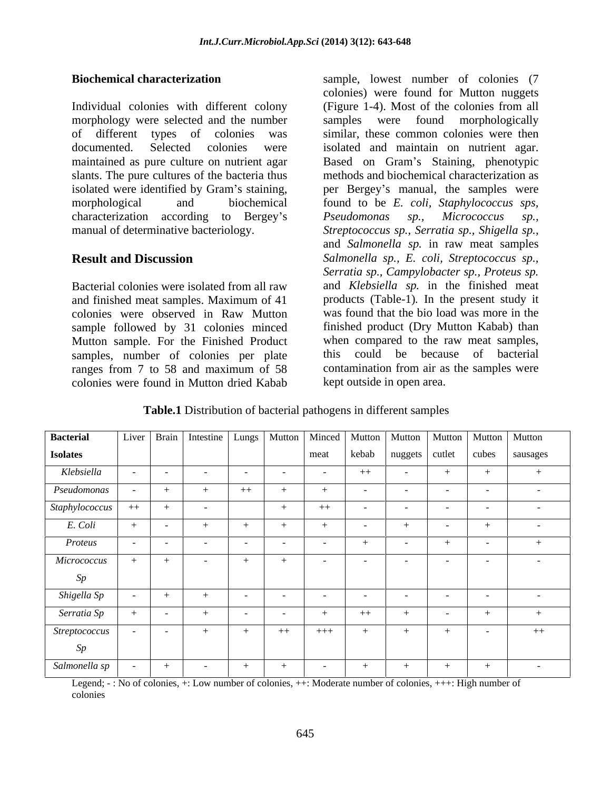Individual colonies with different colony (Figure 1-4). Most of the colonies from all morphology were selected and the number samples were found morphologically of different types of colonies was similar, these common colonies were then documented. Selected colonies were isolated and maintain on nutrient agar. maintained as pure culture on nutrient agar Based on Gram's Staining, phenotypic slants. The pure cultures of the bacteria thus isolated were identified by Gram's staining, <br>per Bergey's manual, the samples were morphological and biochemical found to be *E. coli, Staphylococcus sps,* characterization according to Bergey's *Pseudomonas sp., Micrococcus sp.*, manual of determinative bacteriology. *Streptococcus sp., Serratia sp., Shigella sp.,*

and finished meat samples. Maximum of 41 colonies were observed in Raw Mutton sample followed by 31 colonies minced samples, number of colonies per plate colonies were found in Mutton dried Kabab

**Biochemical characterization** sample, lowest number of colonies (7 **Result and Discussion** *Salmonella sp., E. coli, Streptococcus sp.,* Bacterial colonies were isolated from all raw and *Klebsiella sp.* in the finished meat Mutton sample. For the Finished Product when compared to the raw meat samples, ranges from 7 to 58 and maximum of 58 contamination from air as the samples were colonies) were found for Mutton nuggets (Figure 1-4). Most of the colonies from all samples were found morphologically methods and biochemical characterization as *Pseudomonas sp., Micrococcus sp.,* and *Salmonella sp.* in raw meat samples *Serratia sp., Campylobacter sp., Proteus sp.* products (Table-1)*.* In the present study it was found that the bio load was more in the finished product (Dry Mutton Kabab) than this could be because of bacterial contamination from air as the samples were kept outside in open area.

| <b>Table.1</b> Distribution of bacterial pathogens in different samples |  |
|-------------------------------------------------------------------------|--|
|                                                                         |  |

| <b>Bacterial</b> |      |        |                          |      |            |                          |                   |                                   |                          |            | Liver   Brain   Intestine   Lungs   Mutton   Minced   Mutton   Mutton   Mutton   Mutton   Mutton |
|------------------|------|--------|--------------------------|------|------------|--------------------------|-------------------|-----------------------------------|--------------------------|------------|--------------------------------------------------------------------------------------------------|
| <b>Isolates</b>  |      |        |                          |      |            | meat                     |                   |                                   |                          |            | kebab   nuggets   cutlet   cubes   sausages                                                      |
| Klebsiella       |      | $\sim$ | <b>Contract Contract</b> |      | $\sim$ $-$ | <b>Contract Contract</b> | $++$              | <b>Contract Contract Contract</b> | $+$                      |            |                                                                                                  |
| Pseudomonas      |      |        | $+$                      | $++$ |            |                          | $\sim$ 100 $\sim$ | $\sim$ $-$                        | <b>Contract Contract</b> |            | $\sim$ 100 $\sim$                                                                                |
| Staphylococcus   | $++$ |        | $\sim 10^{-11}$          |      |            | $++$                     | $\sim$            | $\sim$ 100 $\pm$                  | $\sim 10^{-11}$          |            | $\sim$ 100 $\pm$                                                                                 |
| E. Coli          |      |        | $+$                      |      |            |                          | $\sim$ $-$        |                                   | $\sim$ $ \sim$           |            |                                                                                                  |
| Proteus          |      |        | $\sim$                   |      |            | $\sim$                   |                   |                                   | $+$                      |            |                                                                                                  |
| Micrococcus      |      |        | $\sim 10^{-10}$          |      |            | $\sim 100$               | $\sim 100$        | $\sim 100$                        | $\sim 10^{-10}$          | $\sim$ $-$ | $\sim$ 100 $\pm$                                                                                 |
| Sp               |      |        |                          |      |            |                          |                   |                                   |                          |            |                                                                                                  |
| Shigella Sp      |      |        | $+$                      |      | $\sim$ $-$ | $\sim$ $-$               |                   | $\sim$ $-$                        | <b>Contract Contract</b> |            | $\sim$ 100 $\sim$                                                                                |
| Serratia Sp      |      |        | $+$                      |      |            |                          | $++$              |                                   | $\sim$                   |            |                                                                                                  |
| Streptococcus    |      |        | $+$                      |      | $++$       | $+++$                    |                   | $+$                               | $+$                      |            | $++$                                                                                             |
| Sp               |      |        |                          |      |            |                          |                   |                                   |                          |            |                                                                                                  |
| Salmonella sp    |      |        | $\sim 100$               |      |            | <b>Contract Contract</b> | $+$               | $+$                               | $+$                      |            | $\sim$ $-$                                                                                       |

Legend; - : No of colonies, +: Low number of colonies, ++: Moderate number of colonies, +++: High number of colonies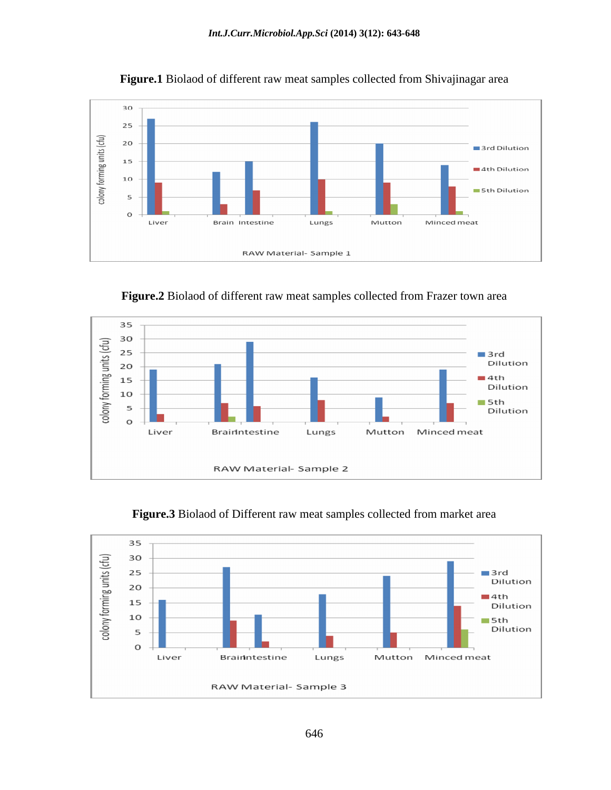

**Figure.1** Biolaod of different raw meat samples collected from Shivajinagar area

**Figure.2** Biolaod of different raw meat samples collected from Frazer town area





**Figure.3** Biolaod of Different raw meat samples collected from market area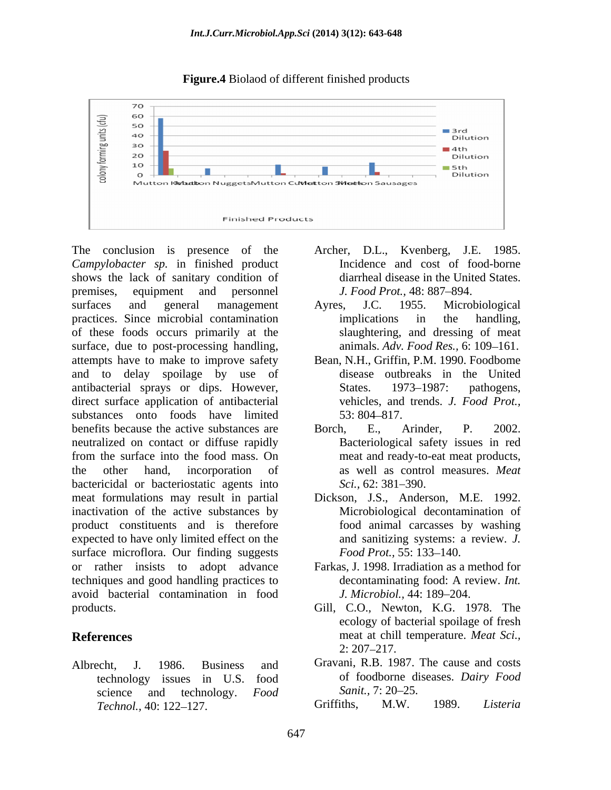

**Figure.4** Biolaod of different finished products

*Campylobacter sp.* in finished product shows the lack of sanitary condition of premises, equipment and personnel *J. Food Prot.*, 48:887–894. surfaces and general management Ayres, J.C. 1955. Microbiological practices. Since microbial contamination of these foods occurs primarily at the surface, due to post-processing handling, attempts have to make to improve safety and to delay spoilage by use of antibacterial sprays or dips. However, direct surface application of antibacterial substances onto foods have limited 53:804-817. benefits because the active substances are  $\qquad$  Borch, E., Arinder, P. 2002. neutralized on contact or diffuse rapidly from the surface into the food mass. On the other hand, incorporation of as well as control measures. *Meat*  bactericidal or bacteriostatic agents into Sci. 62: 381–390. meat formulations may result in partial inactivation of the active substances by product constituents and is therefore expected to have only limited effect on the surface microflora. Our finding suggests Food Prot., 55: 133–140. or rather insists to adopt advance techniques and good handling practices to decontaminating food: A review. *Int.* avoid bacterial contamination in food products. Gill, C.O., Newton, K.G. 1978. The

technology issues in U.S. food of foodborne di<br>science and technology *Food* Sanit. 7:20–25. science and technology. *Food* Sanit., 7:20–25. *Technol.,* 40: 122 127.

- The conclusion is presence of the Archer, D.L., Kvenberg, J.E. 1985. Incidence and cost of food-borne diarrheal disease in the United States. *J. Food Prot.,* 48: 887–894.
	- Ayres, J.C. 1955. Microbiological implications in the handling, slaughtering, and dressing of meat animals. *Adv. Food Res.*, 6: 109-161.
	- Bean, N.H., Griffin, P.M. 1990. Foodbome disease outbreaks in the United States. 1973–1987: pathogens, vehicles, and trends. *J. Food Prot.*,  $53: 804 - 817.$
	- Borch, E., Arinder, P. 2002. Bacteriological safety issues in red meat and ready-to-eat meat products, *Sci.,* 62: 381–390.
	- Dickson, J.S., Anderson, M.E. 1992. Microbiological decontamination of food animal carcasses by washing and sanitizing systems: a review. *J. Food Prot.,* 55: 133–140.
	- Farkas, J. 1998. Irradiation as a method for decontaminating food: A review. *Int. J. Microbiol.,* 44: 189 204.
- **References** meat at chill temperature. *Meat Sci.,* ecology of bacterial spoilage of fresh  $2: 207 - 217.$
- Albrecht, J. 1986. Business and Gravani, R.B. 1987. The cause and costs of foodborne diseases. *Dairy Food Sanit.,* 7: 20–25.

Griffiths, M.W. 1989. *Listeria*